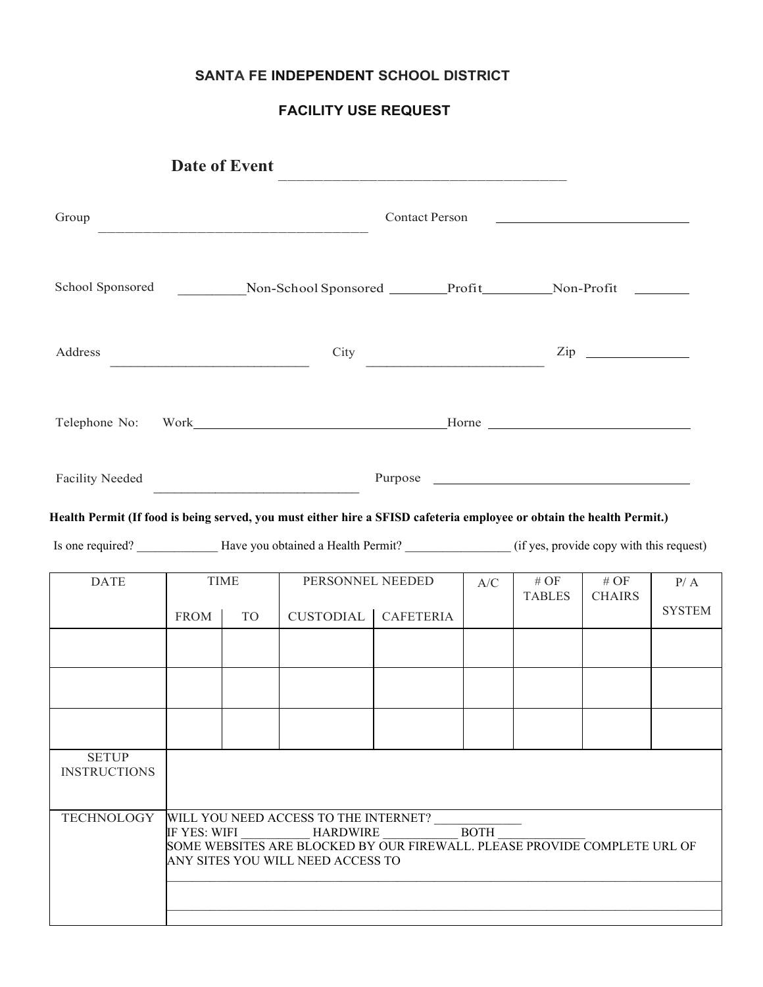## **SANTA FE INDEPENDENT SCHOOL DISTRICT**

# **FACILITY USE REQUEST**

| Group                                                                                                                                                                                                                                                     | <b>Contact Person</b>      |           |                               |                  |                                                             |                          |                          |                      |
|-----------------------------------------------------------------------------------------------------------------------------------------------------------------------------------------------------------------------------------------------------------|----------------------------|-----------|-------------------------------|------------------|-------------------------------------------------------------|--------------------------|--------------------------|----------------------|
|                                                                                                                                                                                                                                                           |                            |           |                               |                  |                                                             |                          |                          |                      |
| Address                                                                                                                                                                                                                                                   |                            |           | City                          |                  |                                                             |                          | $\mathsf{Zip}$           |                      |
| Telephone No: Work Horne Horne Horne                                                                                                                                                                                                                      |                            |           |                               |                  |                                                             |                          |                          |                      |
| <b>Facility Needed</b>                                                                                                                                                                                                                                    |                            |           |                               |                  |                                                             |                          |                          |                      |
|                                                                                                                                                                                                                                                           |                            |           |                               |                  |                                                             |                          |                          |                      |
| Health Permit (If food is being served, you must either hire a SFISD cafeteria employee or obtain the health Permit.)<br>Is one required? ________________Have you obtained a Health Permit? ____________________(if yes, provide copy with this request) |                            |           |                               |                  |                                                             |                          |                          |                      |
| <b>DATE</b>                                                                                                                                                                                                                                               | <b>TIME</b><br><b>FROM</b> | <b>TO</b> | PERSONNEL NEEDED<br>CUSTODIAL | <b>CAFETERIA</b> | $\ensuremath{\text{A}}\xspace/\ensuremath{\text{C}}\xspace$ | $\#$ OF<br><b>TABLES</b> | $\#$ OF<br><b>CHAIRS</b> |                      |
|                                                                                                                                                                                                                                                           |                            |           |                               |                  |                                                             |                          |                          | P/A<br><b>SYSTEM</b> |
|                                                                                                                                                                                                                                                           |                            |           |                               |                  |                                                             |                          |                          |                      |
| <b>SETUP</b><br><b>INSTRUCTIONS</b>                                                                                                                                                                                                                       |                            |           |                               |                  |                                                             |                          |                          |                      |